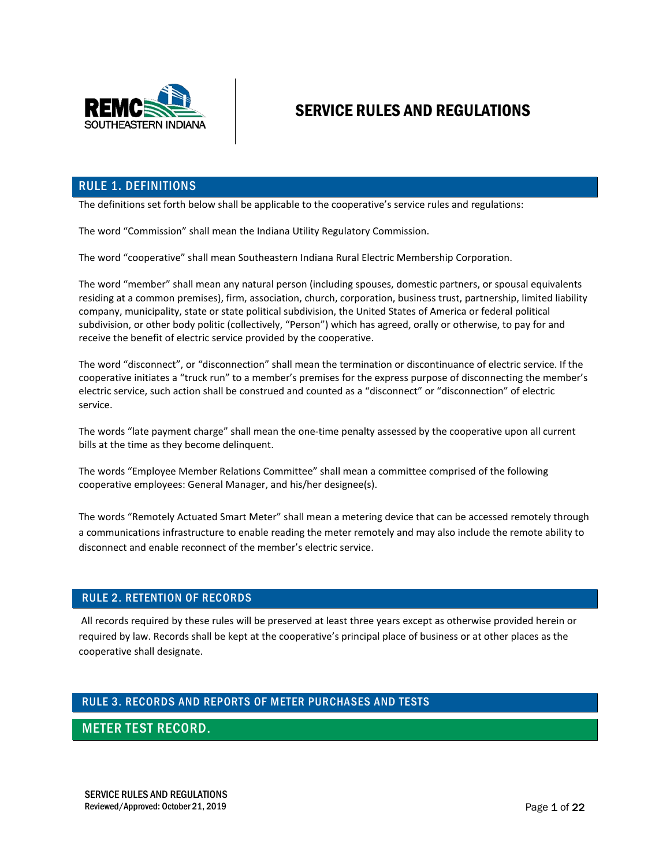

# SERVICE RULES AND REGULATIONS

#### RULE 1. DEFINITIONS

The definitions set forth below shall be applicable to the cooperative's service rules and regulations:

The word "Commission" shall mean the Indiana Utility Regulatory Commission.

The word "cooperative" shall mean Southeastern Indiana Rural Electric Membership Corporation.

The word "member" shall mean any natural person (including spouses, domestic partners, or spousal equivalents residing at a common premises), firm, association, church, corporation, business trust, partnership, limited liability company, municipality, state or state political subdivision, the United States of America or federal political subdivision, or other body politic (collectively, "Person") which has agreed, orally or otherwise, to pay for and receive the benefit of electric service provided by the cooperative.

The word "disconnect", or "disconnection" shall mean the termination or discontinuance of electric service. If the cooperative initiates a "truck run" to a member's premises for the express purpose of disconnecting the member's electric service, such action shall be construed and counted as a "disconnect" or "disconnection" of electric service.

The words "late payment charge" shall mean the one-time penalty assessed by the cooperative upon all current bills at the time as they become delinquent.

The words "Employee Member Relations Committee" shall mean a committee comprised of the following cooperative employees: General Manager, and his/her designee(s).

The words "Remotely Actuated Smart Meter" shall mean a metering device that can be accessed remotely through a communications infrastructure to enable reading the meter remotely and may also include the remote ability to disconnect and enable reconnect of the member's electric service.

#### RULE 2. RETENTION OF RECORDS

All records required by these rules will be preserved at least three years except as otherwise provided herein or required by law. Records shall be kept at the cooperative's principal place of business or at other places as the cooperative shall designate.

## RULE 3. RECORDS AND REPORTS OF METER PURCHASES AND TESTS

### METER TEST RECORD.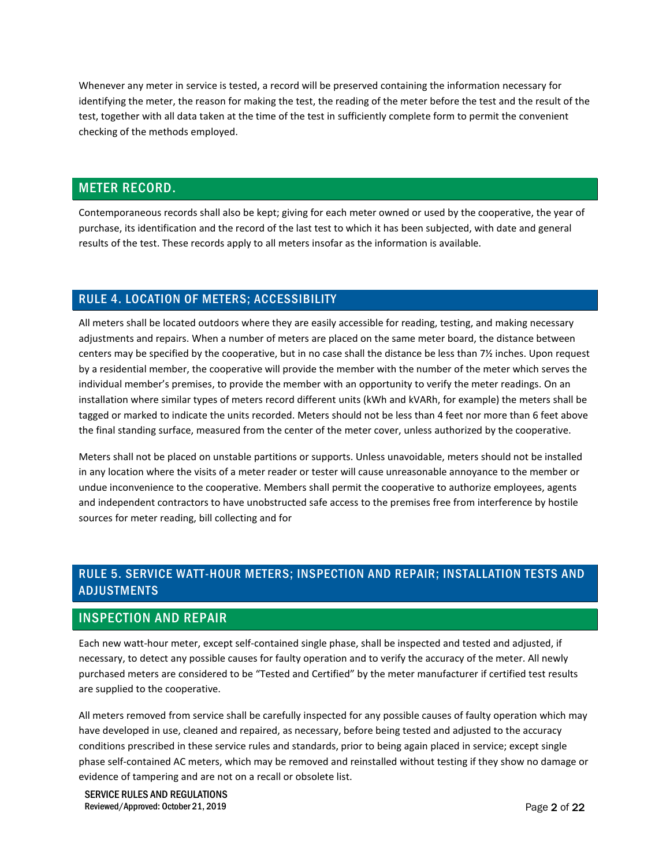Whenever any meter in service is tested, a record will be preserved containing the information necessary for identifying the meter, the reason for making the test, the reading of the meter before the test and the result of the test, together with all data taken at the time of the test in sufficiently complete form to permit the convenient checking of the methods employed.

### METER RECORD.

Contemporaneous records shall also be kept; giving for each meter owned or used by the cooperative, the year of purchase, its identification and the record of the last test to which it has been subjected, with date and general results of the test. These records apply to all meters insofar as the information is available.

#### RULE 4. LOCATION OF METERS; ACCESSIBILITY

All meters shall be located outdoors where they are easily accessible for reading, testing, and making necessary adjustments and repairs. When a number of meters are placed on the same meter board, the distance between centers may be specified by the cooperative, but in no case shall the distance be less than 7½ inches. Upon request by a residential member, the cooperative will provide the member with the number of the meter which serves the individual member's premises, to provide the member with an opportunity to verify the meter readings. On an installation where similar types of meters record different units (kWh and kVARh, for example) the meters shall be tagged or marked to indicate the units recorded. Meters should not be less than 4 feet nor more than 6 feet above the final standing surface, measured from the center of the meter cover, unless authorized by the cooperative.

Meters shall not be placed on unstable partitions or supports. Unless unavoidable, meters should not be installed in any location where the visits of a meter reader or tester will cause unreasonable annoyance to the member or undue inconvenience to the cooperative. Members shall permit the cooperative to authorize employees, agents and independent contractors to have unobstructed safe access to the premises free from interference by hostile sources for meter reading, bill collecting and for

## RULE 5. SERVICE WATT-HOUR METERS; INSPECTION AND REPAIR; INSTALLATION TESTS AND ADJUSTMENTS

### INSPECTION AND REPAIR

Each new watt-hour meter, except self-contained single phase, shall be inspected and tested and adjusted, if necessary, to detect any possible causes for faulty operation and to verify the accuracy of the meter. All newly purchased meters are considered to be "Tested and Certified" by the meter manufacturer if certified test results are supplied to the cooperative.

All meters removed from service shall be carefully inspected for any possible causes of faulty operation which may have developed in use, cleaned and repaired, as necessary, before being tested and adjusted to the accuracy conditions prescribed in these service rules and standards, prior to being again placed in service; except single phase self-contained AC meters, which may be removed and reinstalled without testing if they show no damage or evidence of tampering and are not on a recall or obsolete list.

SERVICE RULES AND REGULATIONS Reviewed/Approved: October 21, 2019 **Page 2 of 22** and 2019 **Page 2 of 22**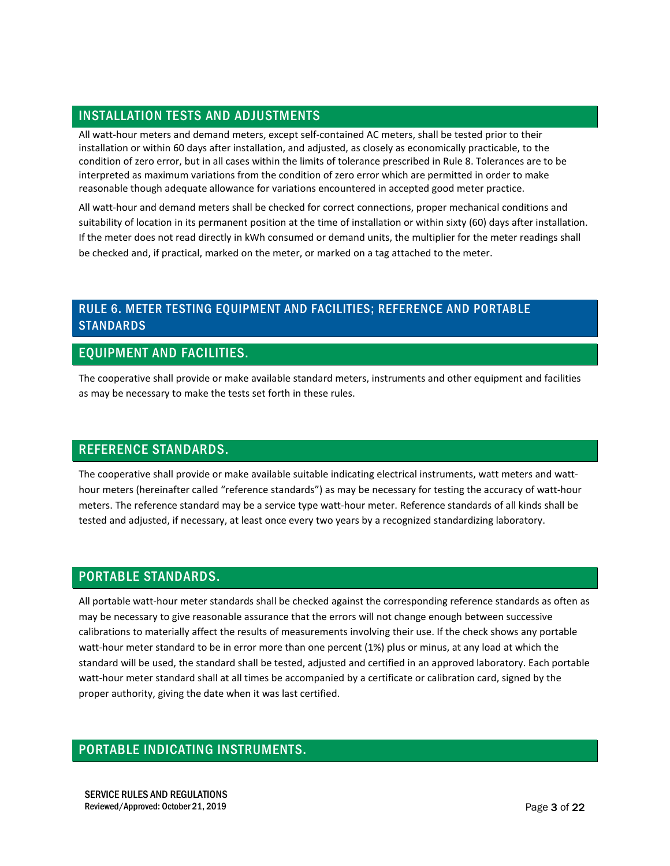## INSTALLATION TESTS AND ADJUSTMENTS

All watt-hour meters and demand meters, except self-contained AC meters, shall be tested prior to their installation or within 60 days after installation, and adjusted, as closely as economically practicable, to the condition of zero error, but in all cases within the limits of tolerance prescribed in Rule 8. Tolerances are to be interpreted as maximum variations from the condition of zero error which are permitted in order to make reasonable though adequate allowance for variations encountered in accepted good meter practice.

All watt-hour and demand meters shall be checked for correct connections, proper mechanical conditions and suitability of location in its permanent position at the time of installation or within sixty (60) days after installation. If the meter does not read directly in kWh consumed or demand units, the multiplier for the meter readings shall be checked and, if practical, marked on the meter, or marked on a tag attached to the meter.

## RULE 6. METER TESTING EQUIPMENT AND FACILITIES; REFERENCE AND PORTABLE STANDARDS

## EQUIPMENT AND FACILITIES.

The cooperative shall provide or make available standard meters, instruments and other equipment and facilities as may be necessary to make the tests set forth in these rules.

### REFERENCE STANDARDS.

The cooperative shall provide or make available suitable indicating electrical instruments, watt meters and watthour meters (hereinafter called "reference standards") as may be necessary for testing the accuracy of watt-hour meters. The reference standard may be a service type watt-hour meter. Reference standards of all kinds shall be tested and adjusted, if necessary, at least once every two years by a recognized standardizing laboratory.

### PORTABLE STANDARDS.

All portable watt-hour meter standards shall be checked against the corresponding reference standards as often as may be necessary to give reasonable assurance that the errors will not change enough between successive calibrations to materially affect the results of measurements involving their use. If the check shows any portable watt-hour meter standard to be in error more than one percent (1%) plus or minus, at any load at which the standard will be used, the standard shall be tested, adjusted and certified in an approved laboratory. Each portable watt-hour meter standard shall at all times be accompanied by a certificate or calibration card, signed by the proper authority, giving the date when it was last certified.

### PORTABLE INDICATING INSTRUMENTS.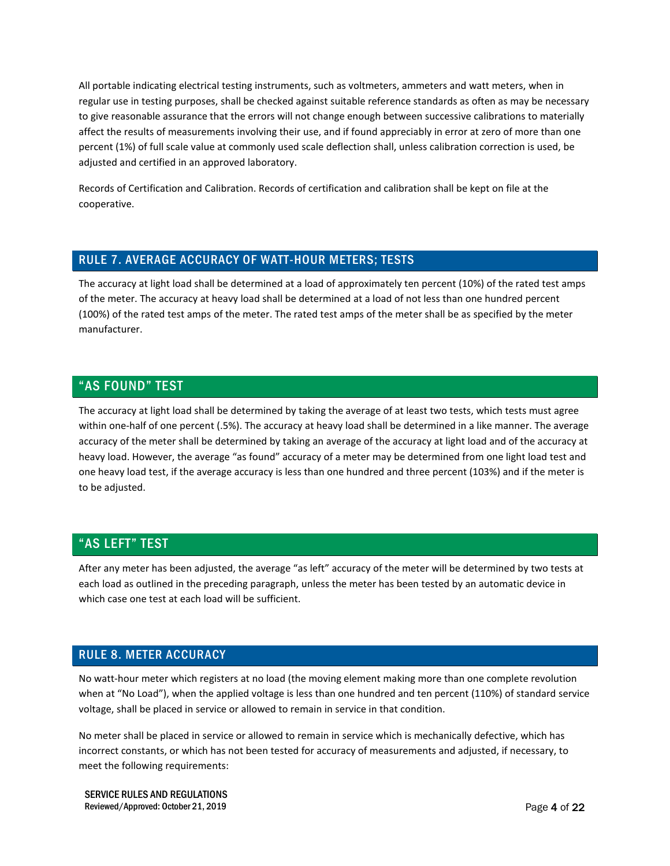All portable indicating electrical testing instruments, such as voltmeters, ammeters and watt meters, when in regular use in testing purposes, shall be checked against suitable reference standards as often as may be necessary to give reasonable assurance that the errors will not change enough between successive calibrations to materially affect the results of measurements involving their use, and if found appreciably in error at zero of more than one percent (1%) of full scale value at commonly used scale deflection shall, unless calibration correction is used, be adjusted and certified in an approved laboratory.

Records of Certification and Calibration. Records of certification and calibration shall be kept on file at the cooperative.

#### RULE 7. AVERAGE ACCURACY OF WATT-HOUR METERS; TESTS

The accuracy at light load shall be determined at a load of approximately ten percent (10%) of the rated test amps of the meter. The accuracy at heavy load shall be determined at a load of not less than one hundred percent (100%) of the rated test amps of the meter. The rated test amps of the meter shall be as specified by the meter manufacturer.

#### "AS FOUND" TEST

The accuracy at light load shall be determined by taking the average of at least two tests, which tests must agree within one-half of one percent (.5%). The accuracy at heavy load shall be determined in a like manner. The average accuracy of the meter shall be determined by taking an average of the accuracy at light load and of the accuracy at heavy load. However, the average "as found" accuracy of a meter may be determined from one light load test and one heavy load test, if the average accuracy is less than one hundred and three percent (103%) and if the meter is to be adjusted.

### "AS LEFT" TEST

After any meter has been adjusted, the average "as left" accuracy of the meter will be determined by two tests at each load as outlined in the preceding paragraph, unless the meter has been tested by an automatic device in which case one test at each load will be sufficient.

#### RULE 8. METER ACCURACY

No watt-hour meter which registers at no load (the moving element making more than one complete revolution when at "No Load"), when the applied voltage is less than one hundred and ten percent (110%) of standard service voltage, shall be placed in service or allowed to remain in service in that condition.

No meter shall be placed in service or allowed to remain in service which is mechanically defective, which has incorrect constants, or which has not been tested for accuracy of measurements and adjusted, if necessary, to meet the following requirements: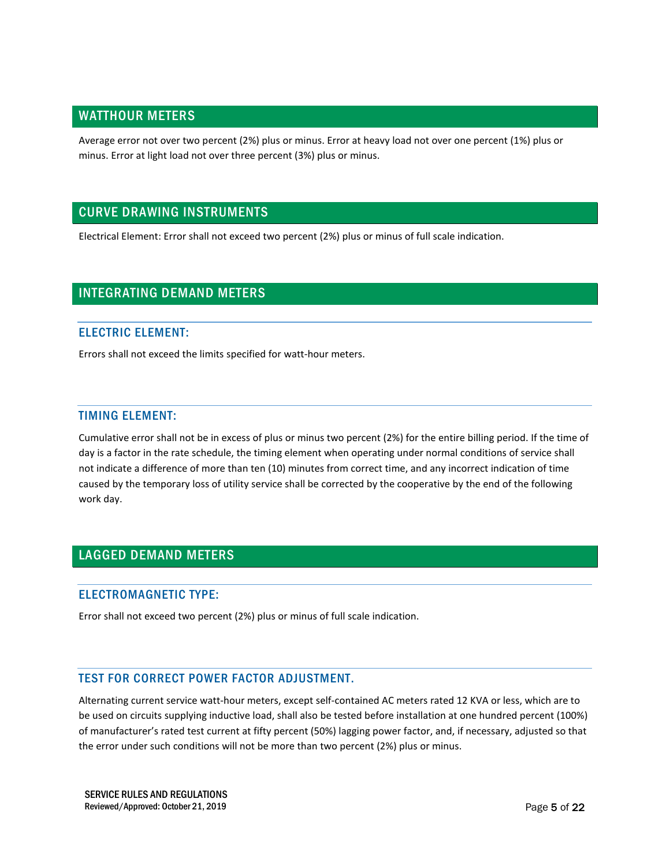### WATTHOUR METERS

Average error not over two percent (2%) plus or minus. Error at heavy load not over one percent (1%) plus or minus. Error at light load not over three percent (3%) plus or minus.

## CURVE DRAWING INSTRUMENTS

Electrical Element: Error shall not exceed two percent (2%) plus or minus of full scale indication.

### INTEGRATING DEMAND METERS

#### ELECTRIC ELEMENT:

Errors shall not exceed the limits specified for watt-hour meters.

#### TIMING ELEMENT:

Cumulative error shall not be in excess of plus or minus two percent (2%) for the entire billing period. If the time of day is a factor in the rate schedule, the timing element when operating under normal conditions of service shall not indicate a difference of more than ten (10) minutes from correct time, and any incorrect indication of time caused by the temporary loss of utility service shall be corrected by the cooperative by the end of the following work day.

## LAGGED DEMAND METERS

#### ELECTROMAGNETIC TYPE:

Error shall not exceed two percent (2%) plus or minus of full scale indication.

#### TEST FOR CORRECT POWER FACTOR ADJUSTMENT.

Alternating current service watt-hour meters, except self-contained AC meters rated 12 KVA or less, which are to be used on circuits supplying inductive load, shall also be tested before installation at one hundred percent (100%) of manufacturer's rated test current at fifty percent (50%) lagging power factor, and, if necessary, adjusted so that the error under such conditions will not be more than two percent (2%) plus or minus.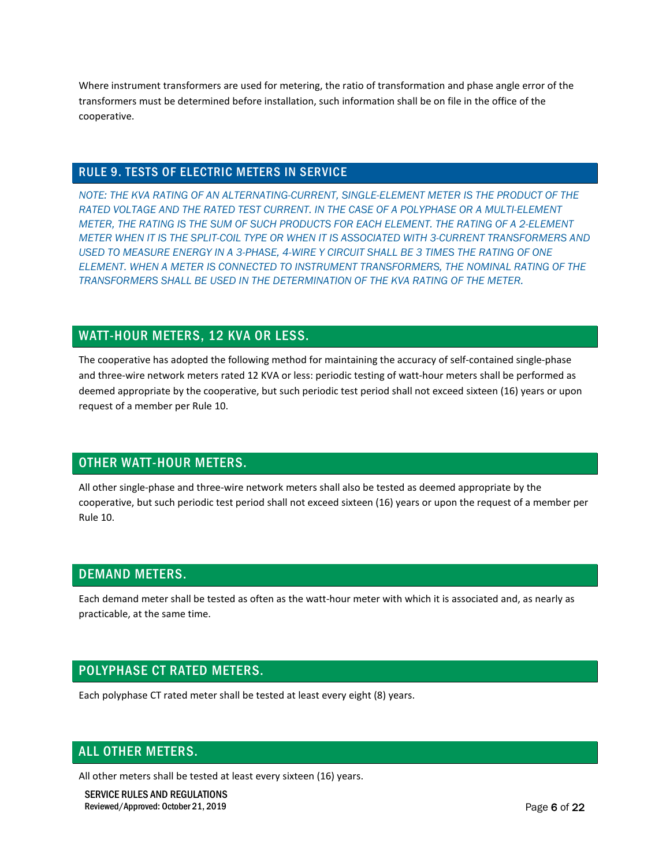Where instrument transformers are used for metering, the ratio of transformation and phase angle error of the transformers must be determined before installation, such information shall be on file in the office of the cooperative.

#### RULE 9. TESTS OF ELECTRIC METERS IN SERVICE

*NOTE: THE KVA RATING OF AN ALTERNATING-CURRENT, SINGLE-ELEMENT METER IS THE PRODUCT OF THE RATED VOLTAGE AND THE RATED TEST CURRENT. IN THE CASE OF A POLYPHASE OR A MULTI-ELEMENT METER, THE RATING IS THE SUM OF SUCH PRODUCTS FOR EACH ELEMENT. THE RATING OF A 2-ELEMENT METER WHEN IT IS THE SPLIT-COIL TYPE OR WHEN IT IS ASSOCIATED WITH 3-CURRENT TRANSFORMERS AND USED TO MEASURE ENERGY IN A 3-PHASE, 4-WIRE Y CIRCUIT SHALL BE 3 TIMES THE RATING OF ONE ELEMENT. WHEN A METER IS CONNECTED TO INSTRUMENT TRANSFORMERS, THE NOMINAL RATING OF THE TRANSFORMERS SHALL BE USED IN THE DETERMINATION OF THE KVA RATING OF THE METER.*

## WATT-HOUR METERS, 12 KVA OR LESS.

The cooperative has adopted the following method for maintaining the accuracy of self-contained single-phase and three-wire network meters rated 12 KVA or less: periodic testing of watt-hour meters shall be performed as deemed appropriate by the cooperative, but such periodic test period shall not exceed sixteen (16) years or upon request of a member per Rule 10.

## OTHER WATT-HOUR METERS.

All other single-phase and three-wire network meters shall also be tested as deemed appropriate by the cooperative, but such periodic test period shall not exceed sixteen (16) years or upon the request of a member per Rule 10.

### DEMAND METERS.

Each demand meter shall be tested as often as the watt-hour meter with which it is associated and, as nearly as practicable, at the same time.

## POLYPHASE CT RATED METERS.

Each polyphase CT rated meter shall be tested at least every eight (8) years.

### ALL OTHER METERS.

All other meters shall be tested at least every sixteen (16) years.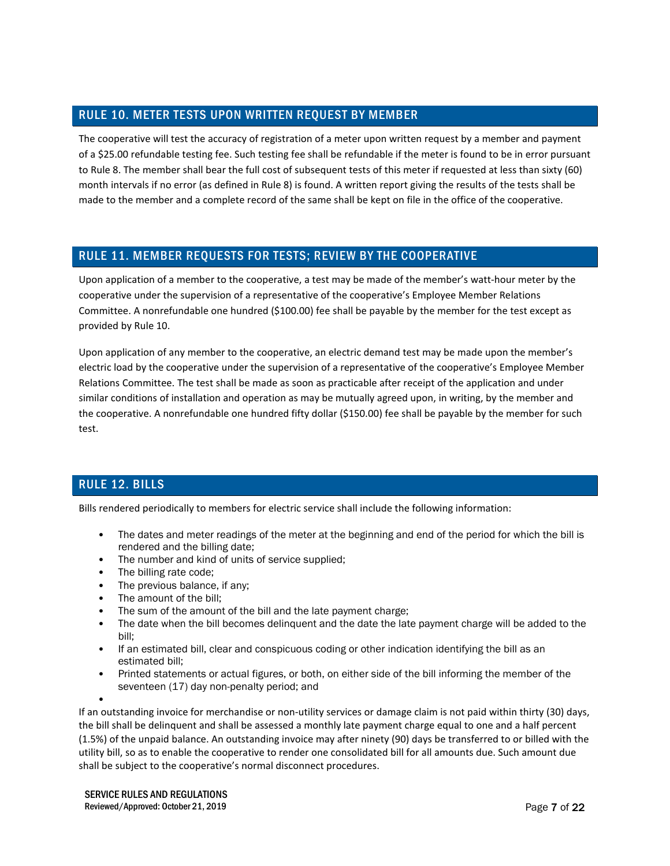### RULE 10. METER TESTS UPON WRITTEN REQUEST BY MEMBER

The cooperative will test the accuracy of registration of a meter upon written request by a member and payment of a \$25.00 refundable testing fee. Such testing fee shall be refundable if the meter is found to be in error pursuant to Rule 8. The member shall bear the full cost of subsequent tests of this meter if requested at less than sixty (60) month intervals if no error (as defined in Rule 8) is found. A written report giving the results of the tests shall be made to the member and a complete record of the same shall be kept on file in the office of the cooperative.

## RULE 11. MEMBER REQUESTS FOR TESTS; REVIEW BY THE COOPERATIVE

Upon application of a member to the cooperative, a test may be made of the member's watt-hour meter by the cooperative under the supervision of a representative of the cooperative's Employee Member Relations Committee. A nonrefundable one hundred (\$100.00) fee shall be payable by the member for the test except as provided by Rule 10.

Upon application of any member to the cooperative, an electric demand test may be made upon the member's electric load by the cooperative under the supervision of a representative of the cooperative's Employee Member Relations Committee. The test shall be made as soon as practicable after receipt of the application and under similar conditions of installation and operation as may be mutually agreed upon, in writing, by the member and the cooperative. A nonrefundable one hundred fifty dollar (\$150.00) fee shall be payable by the member for such test.

## RULE 12. BILLS

Bills rendered periodically to members for electric service shall include the following information:

- The dates and meter readings of the meter at the beginning and end of the period for which the bill is rendered and the billing date;
- The number and kind of units of service supplied;
- The billing rate code;
- The previous balance, if any;
- The amount of the bill:
- The sum of the amount of the bill and the late payment charge;
- The date when the bill becomes delinquent and the date the late payment charge will be added to the bill;
- If an estimated bill, clear and conspicuous coding or other indication identifying the bill as an estimated bill;
- Printed statements or actual figures, or both, on either side of the bill informing the member of the seventeen (17) day non-penalty period; and

If an outstanding invoice for merchandise or non-utility services or damage claim is not paid within thirty (30) days, the bill shall be delinquent and shall be assessed a monthly late payment charge equal to one and a half percent (1.5%) of the unpaid balance. An outstanding invoice may after ninety (90) days be transferred to or billed with the utility bill, so as to enable the cooperative to render one consolidated bill for all amounts due. Such amount due shall be subject to the cooperative's normal disconnect procedures.

<sup>•</sup>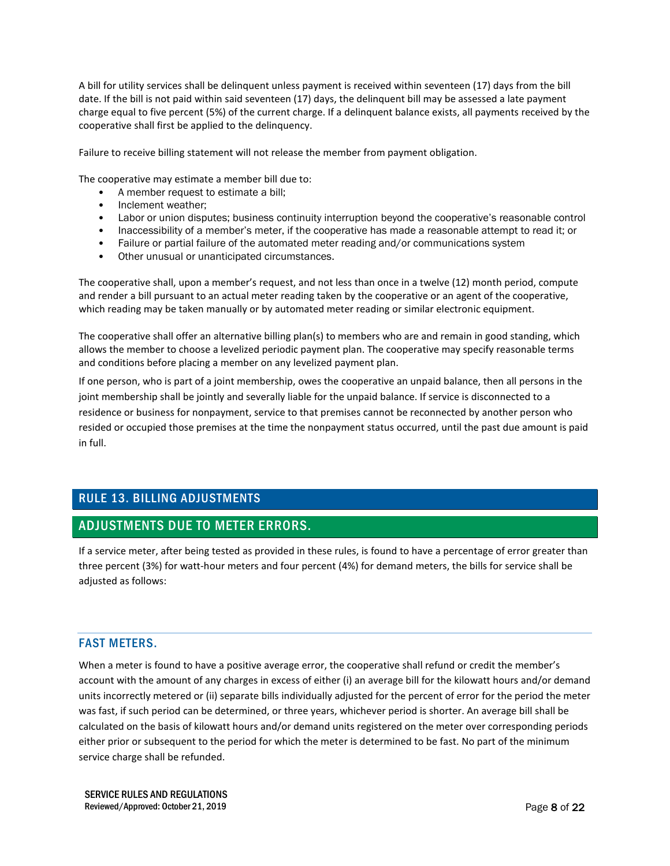A bill for utility services shall be delinquent unless payment is received within seventeen (17) days from the bill date. If the bill is not paid within said seventeen (17) days, the delinquent bill may be assessed a late payment charge equal to five percent (5%) of the current charge. If a delinquent balance exists, all payments received by the cooperative shall first be applied to the delinquency.

Failure to receive billing statement will not release the member from payment obligation.

The cooperative may estimate a member bill due to:

- A member request to estimate a bill;
- Inclement weather;
- Labor or union disputes; business continuity interruption beyond the cooperative's reasonable control
- Inaccessibility of a member's meter, if the cooperative has made a reasonable attempt to read it; or
- Failure or partial failure of the automated meter reading and/or communications system
- Other unusual or unanticipated circumstances.

The cooperative shall, upon a member's request, and not less than once in a twelve (12) month period, compute and render a bill pursuant to an actual meter reading taken by the cooperative or an agent of the cooperative, which reading may be taken manually or by automated meter reading or similar electronic equipment.

The cooperative shall offer an alternative billing plan(s) to members who are and remain in good standing, which allows the member to choose a levelized periodic payment plan. The cooperative may specify reasonable terms and conditions before placing a member on any levelized payment plan.

If one person, who is part of a joint membership, owes the cooperative an unpaid balance, then all persons in the joint membership shall be jointly and severally liable for the unpaid balance. If service is disconnected to a residence or business for nonpayment, service to that premises cannot be reconnected by another person who resided or occupied those premises at the time the nonpayment status occurred, until the past due amount is paid in full.

## RULE 13. BILLING ADJUSTMENTS

## ADJUSTMENTS DUE TO METER ERRORS.

If a service meter, after being tested as provided in these rules, is found to have a percentage of error greater than three percent (3%) for watt-hour meters and four percent (4%) for demand meters, the bills for service shall be adjusted as follows:

### FAST METERS.

When a meter is found to have a positive average error, the cooperative shall refund or credit the member's account with the amount of any charges in excess of either (i) an average bill for the kilowatt hours and/or demand units incorrectly metered or (ii) separate bills individually adjusted for the percent of error for the period the meter was fast, if such period can be determined, or three years, whichever period is shorter. An average bill shall be calculated on the basis of kilowatt hours and/or demand units registered on the meter over corresponding periods either prior or subsequent to the period for which the meter is determined to be fast. No part of the minimum service charge shall be refunded.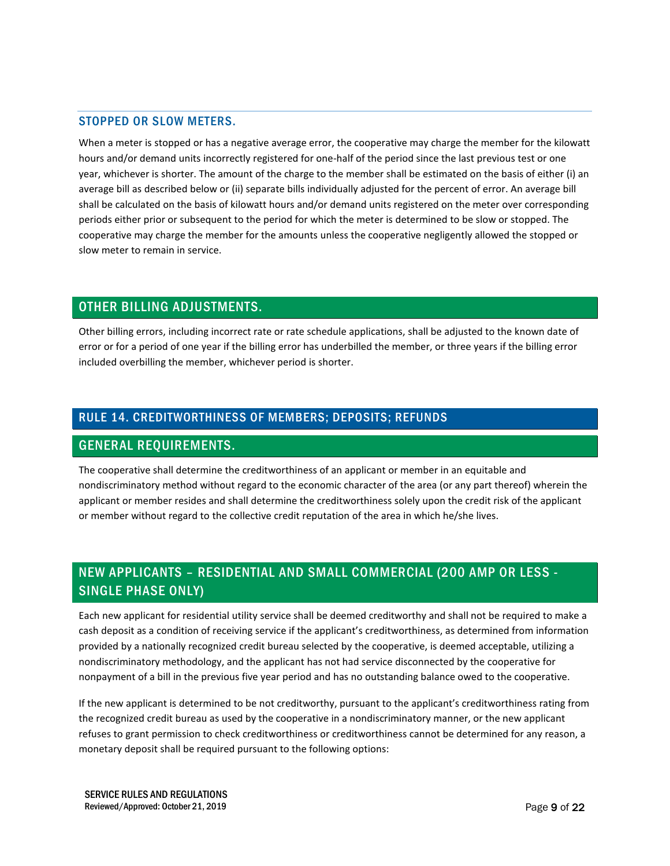#### STOPPED OR SLOW METERS.

When a meter is stopped or has a negative average error, the cooperative may charge the member for the kilowatt hours and/or demand units incorrectly registered for one-half of the period since the last previous test or one year, whichever is shorter. The amount of the charge to the member shall be estimated on the basis of either (i) an average bill as described below or (ii) separate bills individually adjusted for the percent of error. An average bill shall be calculated on the basis of kilowatt hours and/or demand units registered on the meter over corresponding periods either prior or subsequent to the period for which the meter is determined to be slow or stopped. The cooperative may charge the member for the amounts unless the cooperative negligently allowed the stopped or slow meter to remain in service.

### OTHER BILLING ADJUSTMENTS.

Other billing errors, including incorrect rate or rate schedule applications, shall be adjusted to the known date of error or for a period of one year if the billing error has underbilled the member, or three years if the billing error included overbilling the member, whichever period is shorter.

### RULE 14. CREDITWORTHINESS OF MEMBERS; DEPOSITS; REFUNDS

### GENERAL REQUIREMENTS.

The cooperative shall determine the creditworthiness of an applicant or member in an equitable and nondiscriminatory method without regard to the economic character of the area (or any part thereof) wherein the applicant or member resides and shall determine the creditworthiness solely upon the credit risk of the applicant or member without regard to the collective credit reputation of the area in which he/she lives.

# NEW APPLICANTS – RESIDENTIAL AND SMALL COMMERCIAL (200 AMP OR LESS - SINGLE PHASE ONLY)

Each new applicant for residential utility service shall be deemed creditworthy and shall not be required to make a cash deposit as a condition of receiving service if the applicant's creditworthiness, as determined from information provided by a nationally recognized credit bureau selected by the cooperative, is deemed acceptable, utilizing a nondiscriminatory methodology, and the applicant has not had service disconnected by the cooperative for nonpayment of a bill in the previous five year period and has no outstanding balance owed to the cooperative.

If the new applicant is determined to be not creditworthy, pursuant to the applicant's creditworthiness rating from the recognized credit bureau as used by the cooperative in a nondiscriminatory manner, or the new applicant refuses to grant permission to check creditworthiness or creditworthiness cannot be determined for any reason, a monetary deposit shall be required pursuant to the following options: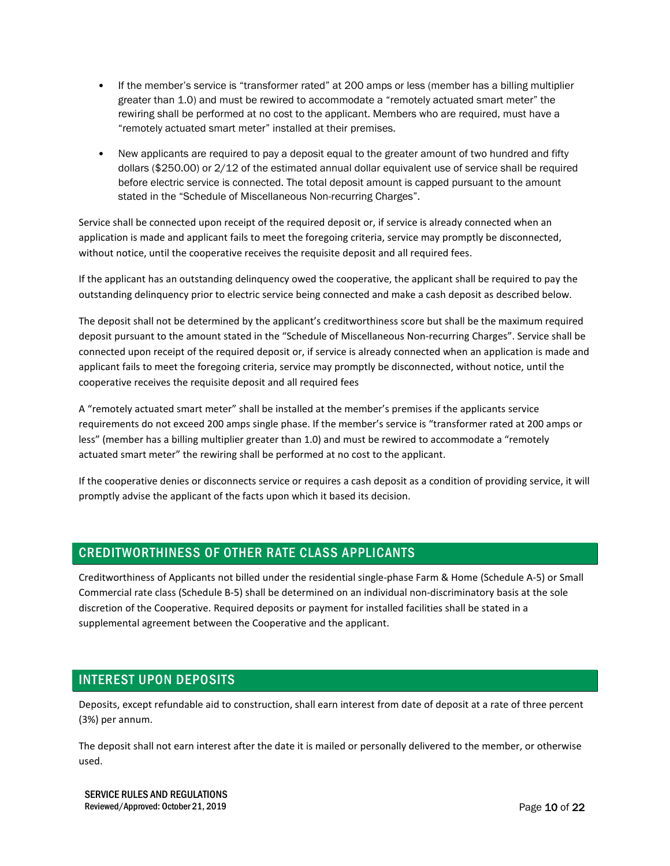- If the member's service is "transformer rated" at 200 amps or less (member has a billing multiplier greater than 1.0) and must be rewired to accommodate a "remotely actuated smart meter" the rewiring shall be performed at no cost to the applicant. Members who are required, must have a "remotely actuated smart meter" installed at their premises.
- New applicants are required to pay a deposit equal to the greater amount of two hundred and fifty dollars (\$250.00) or 2/12 of the estimated annual dollar equivalent use of service shall be required before electric service is connected. The total deposit amount is capped pursuant to the amount stated in the "Schedule of Miscellaneous Non-recurring Charges".

Service shall be connected upon receipt of the required deposit or, if service is already connected when an application is made and applicant fails to meet the foregoing criteria, service may promptly be disconnected, without notice, until the cooperative receives the requisite deposit and all required fees.

If the applicant has an outstanding delinquency owed the cooperative, the applicant shall be required to pay the outstanding delinquency prior to electric service being connected and make a cash deposit as described below.

The deposit shall not be determined by the applicant's creditworthiness score but shall be the maximum required deposit pursuant to the amount stated in the "Schedule of Miscellaneous Non-recurring Charges". Service shall be connected upon receipt of the required deposit or, if service is already connected when an application is made and applicant fails to meet the foregoing criteria, service may promptly be disconnected, without notice, until the cooperative receives the requisite deposit and all required fees

A "remotely actuated smart meter" shall be installed at the member's premises if the applicants service requirements do not exceed 200 amps single phase. If the member's service is "transformer rated at 200 amps or less" (member has a billing multiplier greater than 1.0) and must be rewired to accommodate a "remotely actuated smart meter" the rewiring shall be performed at no cost to the applicant.

If the cooperative denies or disconnects service or requires a cash deposit as a condition of providing service, it will promptly advise the applicant of the facts upon which it based its decision.

## CREDITWORTHINESS OF OTHER RATE CLASS APPLICANTS

Creditworthiness of Applicants not billed under the residential single-phase Farm & Home (Schedule A-5) or Small Commercial rate class (Schedule B-5) shall be determined on an individual non-discriminatory basis at the sole discretion of the Cooperative. Required deposits or payment for installed facilities shall be stated in a supplemental agreement between the Cooperative and the applicant.

## INTEREST UPON DEPOSITS

Deposits, except refundable aid to construction, shall earn interest from date of deposit at a rate of three percent (3%) per annum.

The deposit shall not earn interest after the date it is mailed or personally delivered to the member, or otherwise used.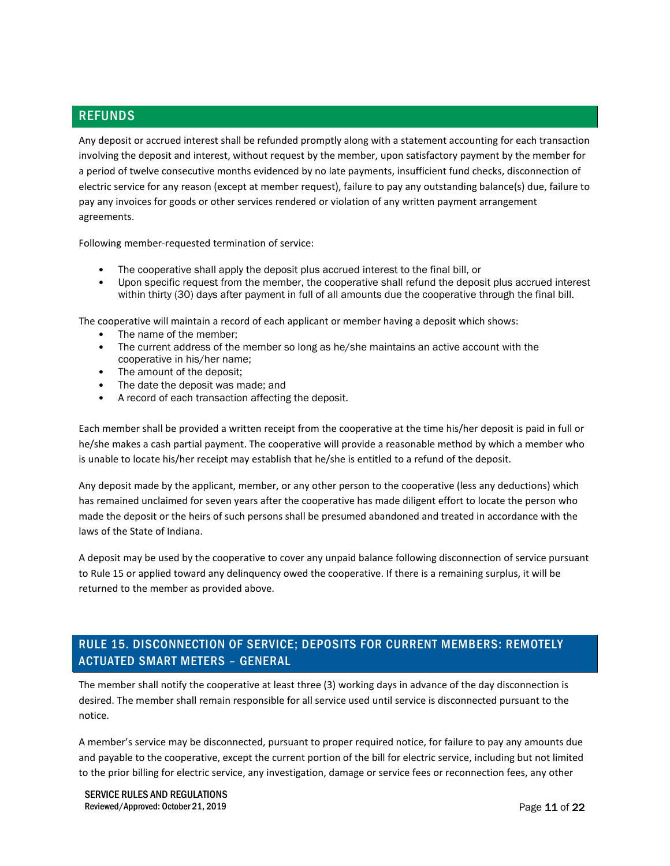### REFUNDS

Any deposit or accrued interest shall be refunded promptly along with a statement accounting for each transaction involving the deposit and interest, without request by the member, upon satisfactory payment by the member for a period of twelve consecutive months evidenced by no late payments, insufficient fund checks, disconnection of electric service for any reason (except at member request), failure to pay any outstanding balance(s) due, failure to pay any invoices for goods or other services rendered or violation of any written payment arrangement agreements.

Following member-requested termination of service:

- The cooperative shall apply the deposit plus accrued interest to the final bill, or
- Upon specific request from the member, the cooperative shall refund the deposit plus accrued interest within thirty (30) days after payment in full of all amounts due the cooperative through the final bill.

The cooperative will maintain a record of each applicant or member having a deposit which shows:

- The name of the member:
- The current address of the member so long as he/she maintains an active account with the cooperative in his/her name;
- The amount of the deposit;
- The date the deposit was made; and
- A record of each transaction affecting the deposit.

Each member shall be provided a written receipt from the cooperative at the time his/her deposit is paid in full or he/she makes a cash partial payment. The cooperative will provide a reasonable method by which a member who is unable to locate his/her receipt may establish that he/she is entitled to a refund of the deposit.

Any deposit made by the applicant, member, or any other person to the cooperative (less any deductions) which has remained unclaimed for seven years after the cooperative has made diligent effort to locate the person who made the deposit or the heirs of such persons shall be presumed abandoned and treated in accordance with the laws of the State of Indiana.

A deposit may be used by the cooperative to cover any unpaid balance following disconnection of service pursuant to Rule 15 or applied toward any delinquency owed the cooperative. If there is a remaining surplus, it will be returned to the member as provided above.

## RULE 15. DISCONNECTION OF SERVICE; DEPOSITS FOR CURRENT MEMBERS: REMOTELY ACTUATED SMART METERS – GENERAL

The member shall notify the cooperative at least three (3) working days in advance of the day disconnection is desired. The member shall remain responsible for all service used until service is disconnected pursuant to the notice.

A member's service may be disconnected, pursuant to proper required notice, for failure to pay any amounts due and payable to the cooperative, except the current portion of the bill for electric service, including but not limited to the prior billing for electric service, any investigation, damage or service fees or reconnection fees, any other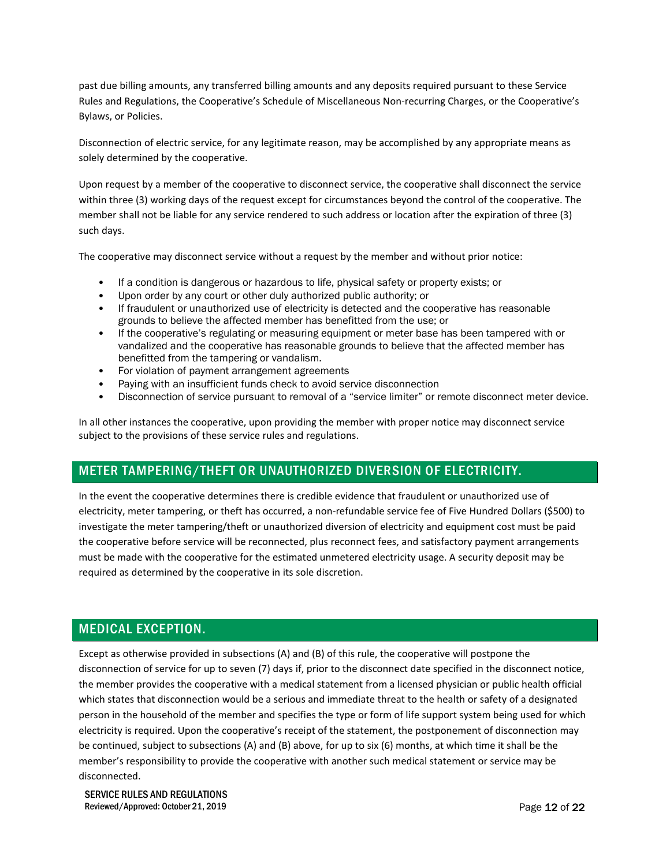past due billing amounts, any transferred billing amounts and any deposits required pursuant to these Service Rules and Regulations, the Cooperative's Schedule of Miscellaneous Non-recurring Charges, or the Cooperative's Bylaws, or Policies.

Disconnection of electric service, for any legitimate reason, may be accomplished by any appropriate means as solely determined by the cooperative.

Upon request by a member of the cooperative to disconnect service, the cooperative shall disconnect the service within three (3) working days of the request except for circumstances beyond the control of the cooperative. The member shall not be liable for any service rendered to such address or location after the expiration of three (3) such days.

The cooperative may disconnect service without a request by the member and without prior notice:

- If a condition is dangerous or hazardous to life, physical safety or property exists; or
- Upon order by any court or other duly authorized public authority; or
- If fraudulent or unauthorized use of electricity is detected and the cooperative has reasonable grounds to believe the affected member has benefitted from the use; or
- If the cooperative's regulating or measuring equipment or meter base has been tampered with or vandalized and the cooperative has reasonable grounds to believe that the affected member has benefitted from the tampering or vandalism.
- For violation of payment arrangement agreements
- Paying with an insufficient funds check to avoid service disconnection
- Disconnection of service pursuant to removal of a "service limiter" or remote disconnect meter device.

In all other instances the cooperative, upon providing the member with proper notice may disconnect service subject to the provisions of these service rules and regulations.

## METER TAMPERING/THEFT OR UNAUTHORIZED DIVERSION OF ELECTRICITY.

In the event the cooperative determines there is credible evidence that fraudulent or unauthorized use of electricity, meter tampering, or theft has occurred, a non-refundable service fee of Five Hundred Dollars (\$500) to investigate the meter tampering/theft or unauthorized diversion of electricity and equipment cost must be paid the cooperative before service will be reconnected, plus reconnect fees, and satisfactory payment arrangements must be made with the cooperative for the estimated unmetered electricity usage. A security deposit may be required as determined by the cooperative in its sole discretion.

### MEDICAL EXCEPTION.

Except as otherwise provided in subsections (A) and (B) of this rule, the cooperative will postpone the disconnection of service for up to seven (7) days if, prior to the disconnect date specified in the disconnect notice, the member provides the cooperative with a medical statement from a licensed physician or public health official which states that disconnection would be a serious and immediate threat to the health or safety of a designated person in the household of the member and specifies the type or form of life support system being used for which electricity is required. Upon the cooperative's receipt of the statement, the postponement of disconnection may be continued, subject to subsections (A) and (B) above, for up to six (6) months, at which time it shall be the member's responsibility to provide the cooperative with another such medical statement or service may be disconnected.

SERVICE RULES AND REGULATIONS Reviewed/Approved: October 21, 2019 **Page 12 of 22**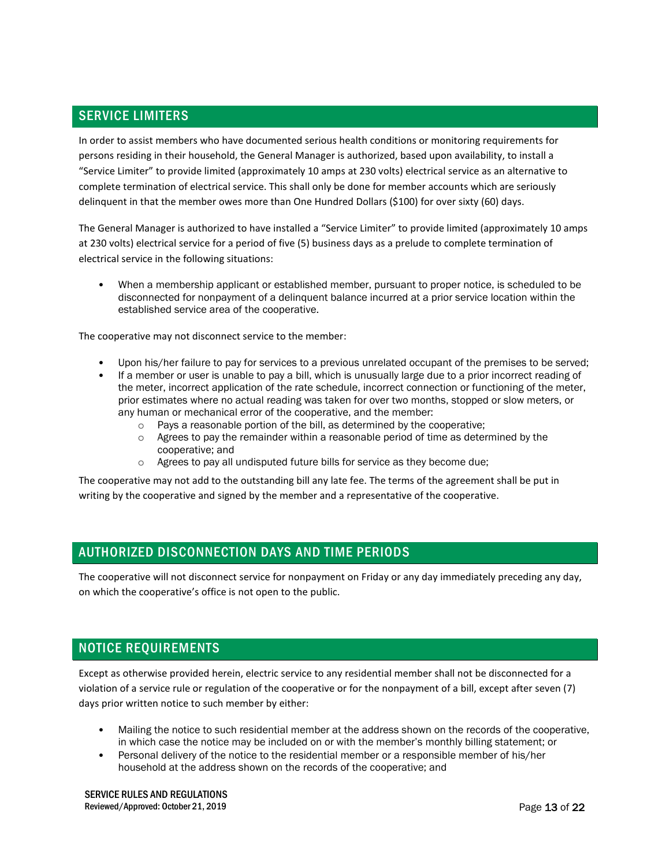### SERVICE LIMITERS

In order to assist members who have documented serious health conditions or monitoring requirements for persons residing in their household, the General Manager is authorized, based upon availability, to install a "Service Limiter" to provide limited (approximately 10 amps at 230 volts) electrical service as an alternative to complete termination of electrical service. This shall only be done for member accounts which are seriously delinquent in that the member owes more than One Hundred Dollars (\$100) for over sixty (60) days.

The General Manager is authorized to have installed a "Service Limiter" to provide limited (approximately 10 amps at 230 volts) electrical service for a period of five (5) business days as a prelude to complete termination of electrical service in the following situations:

• When a membership applicant or established member, pursuant to proper notice, is scheduled to be disconnected for nonpayment of a delinquent balance incurred at a prior service location within the established service area of the cooperative.

The cooperative may not disconnect service to the member:

- Upon his/her failure to pay for services to a previous unrelated occupant of the premises to be served;
- If a member or user is unable to pay a bill, which is unusually large due to a prior incorrect reading of the meter, incorrect application of the rate schedule, incorrect connection or functioning of the meter, prior estimates where no actual reading was taken for over two months, stopped or slow meters, or any human or mechanical error of the cooperative, and the member:
	- o Pays a reasonable portion of the bill, as determined by the cooperative;
	- $\circ$  Agrees to pay the remainder within a reasonable period of time as determined by the cooperative; and
	- o Agrees to pay all undisputed future bills for service as they become due;

The cooperative may not add to the outstanding bill any late fee. The terms of the agreement shall be put in writing by the cooperative and signed by the member and a representative of the cooperative.

## AUTHORIZED DISCONNECTION DAYS AND TIME PERIODS

The cooperative will not disconnect service for nonpayment on Friday or any day immediately preceding any day, on which the cooperative's office is not open to the public.

## NOTICE REQUIREMENTS

Except as otherwise provided herein, electric service to any residential member shall not be disconnected for a violation of a service rule or regulation of the cooperative or for the nonpayment of a bill, except after seven (7) days prior written notice to such member by either:

- Mailing the notice to such residential member at the address shown on the records of the cooperative, in which case the notice may be included on or with the member's monthly billing statement; or
- Personal delivery of the notice to the residential member or a responsible member of his/her household at the address shown on the records of the cooperative; and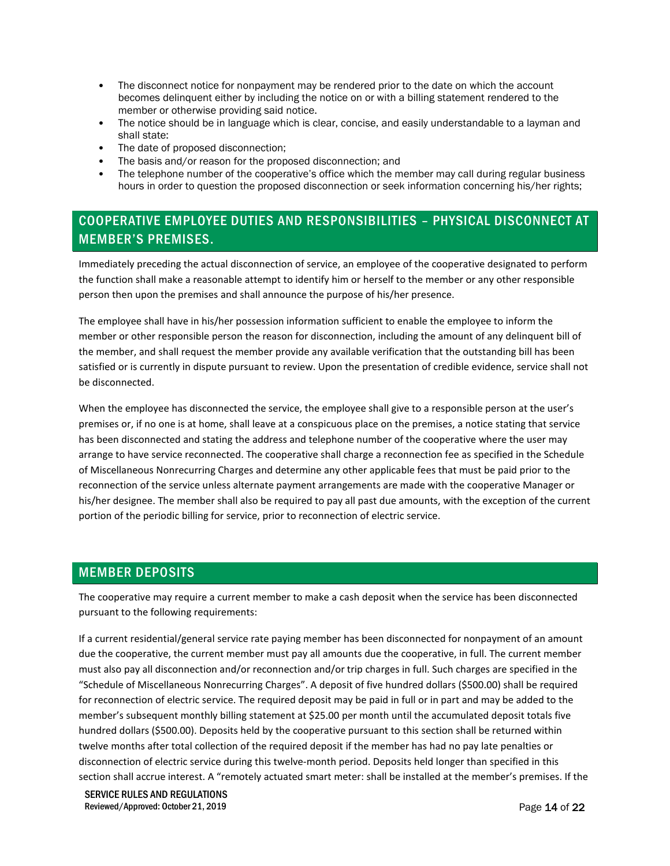- The disconnect notice for nonpayment may be rendered prior to the date on which the account becomes delinquent either by including the notice on or with a billing statement rendered to the member or otherwise providing said notice.
- The notice should be in language which is clear, concise, and easily understandable to a layman and shall state:
- The date of proposed disconnection;
- The basis and/or reason for the proposed disconnection; and
- The telephone number of the cooperative's office which the member may call during regular business hours in order to question the proposed disconnection or seek information concerning his/her rights;

## COOPERATIVE EMPLOYEE DUTIES AND RESPONSIBILITIES – PHYSICAL DISCONNECT AT MEMBER'S PREMISES.

Immediately preceding the actual disconnection of service, an employee of the cooperative designated to perform the function shall make a reasonable attempt to identify him or herself to the member or any other responsible person then upon the premises and shall announce the purpose of his/her presence.

The employee shall have in his/her possession information sufficient to enable the employee to inform the member or other responsible person the reason for disconnection, including the amount of any delinquent bill of the member, and shall request the member provide any available verification that the outstanding bill has been satisfied or is currently in dispute pursuant to review. Upon the presentation of credible evidence, service shall not be disconnected.

When the employee has disconnected the service, the employee shall give to a responsible person at the user's premises or, if no one is at home, shall leave at a conspicuous place on the premises, a notice stating that service has been disconnected and stating the address and telephone number of the cooperative where the user may arrange to have service reconnected. The cooperative shall charge a reconnection fee as specified in the Schedule of Miscellaneous Nonrecurring Charges and determine any other applicable fees that must be paid prior to the reconnection of the service unless alternate payment arrangements are made with the cooperative Manager or his/her designee. The member shall also be required to pay all past due amounts, with the exception of the current portion of the periodic billing for service, prior to reconnection of electric service.

### MEMBER DEPOSITS

The cooperative may require a current member to make a cash deposit when the service has been disconnected pursuant to the following requirements:

If a current residential/general service rate paying member has been disconnected for nonpayment of an amount due the cooperative, the current member must pay all amounts due the cooperative, in full. The current member must also pay all disconnection and/or reconnection and/or trip charges in full. Such charges are specified in the "Schedule of Miscellaneous Nonrecurring Charges". A deposit of five hundred dollars (\$500.00) shall be required for reconnection of electric service. The required deposit may be paid in full or in part and may be added to the member's subsequent monthly billing statement at \$25.00 per month until the accumulated deposit totals five hundred dollars (\$500.00). Deposits held by the cooperative pursuant to this section shall be returned within twelve months after total collection of the required deposit if the member has had no pay late penalties or disconnection of electric service during this twelve-month period. Deposits held longer than specified in this section shall accrue interest. A "remotely actuated smart meter: shall be installed at the member's premises. If the

SERVICE RULES AND REGULATIONS Reviewed/Approved: October 21, 2019 **Page 14 of 22 Page 14 of 22**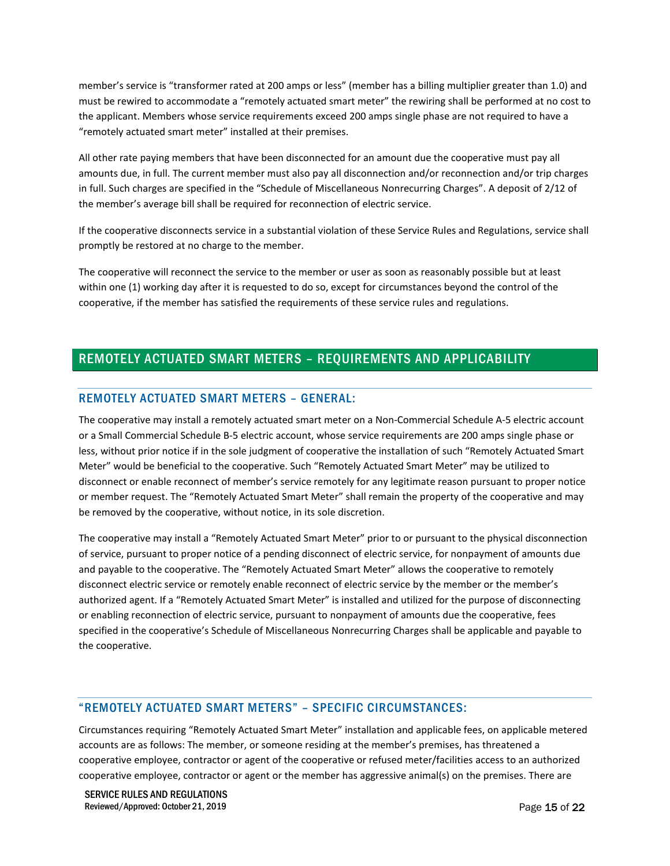member's service is "transformer rated at 200 amps or less" (member has a billing multiplier greater than 1.0) and must be rewired to accommodate a "remotely actuated smart meter" the rewiring shall be performed at no cost to the applicant. Members whose service requirements exceed 200 amps single phase are not required to have a "remotely actuated smart meter" installed at their premises.

All other rate paying members that have been disconnected for an amount due the cooperative must pay all amounts due, in full. The current member must also pay all disconnection and/or reconnection and/or trip charges in full. Such charges are specified in the "Schedule of Miscellaneous Nonrecurring Charges". A deposit of 2/12 of the member's average bill shall be required for reconnection of electric service.

If the cooperative disconnects service in a substantial violation of these Service Rules and Regulations, service shall promptly be restored at no charge to the member.

The cooperative will reconnect the service to the member or user as soon as reasonably possible but at least within one (1) working day after it is requested to do so, except for circumstances beyond the control of the cooperative, if the member has satisfied the requirements of these service rules and regulations.

### REMOTELY ACTUATED SMART METERS – REQUIREMENTS AND APPLICABILITY

#### REMOTELY ACTUATED SMART METERS – GENERAL:

The cooperative may install a remotely actuated smart meter on a Non-Commercial Schedule A-5 electric account or a Small Commercial Schedule B-5 electric account, whose service requirements are 200 amps single phase or less, without prior notice if in the sole judgment of cooperative the installation of such "Remotely Actuated Smart Meter" would be beneficial to the cooperative. Such "Remotely Actuated Smart Meter" may be utilized to disconnect or enable reconnect of member's service remotely for any legitimate reason pursuant to proper notice or member request. The "Remotely Actuated Smart Meter" shall remain the property of the cooperative and may be removed by the cooperative, without notice, in its sole discretion.

The cooperative may install a "Remotely Actuated Smart Meter" prior to or pursuant to the physical disconnection of service, pursuant to proper notice of a pending disconnect of electric service, for nonpayment of amounts due and payable to the cooperative. The "Remotely Actuated Smart Meter" allows the cooperative to remotely disconnect electric service or remotely enable reconnect of electric service by the member or the member's authorized agent. If a "Remotely Actuated Smart Meter" is installed and utilized for the purpose of disconnecting or enabling reconnection of electric service, pursuant to nonpayment of amounts due the cooperative, fees specified in the cooperative's Schedule of Miscellaneous Nonrecurring Charges shall be applicable and payable to the cooperative.

#### "REMOTELY ACTUATED SMART METERS" – SPECIFIC CIRCUMSTANCES:

Circumstances requiring "Remotely Actuated Smart Meter" installation and applicable fees, on applicable metered accounts are as follows: The member, or someone residing at the member's premises, has threatened a cooperative employee, contractor or agent of the cooperative or refused meter/facilities access to an authorized cooperative employee, contractor or agent or the member has aggressive animal(s) on the premises. There are

SERVICE RULES AND REGULATIONS Reviewed/Approved: October 21, 2019 **Page 15 of 22** and  $P$  and  $P$  and  $P$  and  $P$  and  $P$  and  $P$  and  $P$  and  $P$  and  $P$  and  $P$  and  $P$  and  $P$  and  $P$  and  $P$  and  $P$  and  $P$  and  $P$  and  $P$  and  $P$  and  $P$  and  $P$  an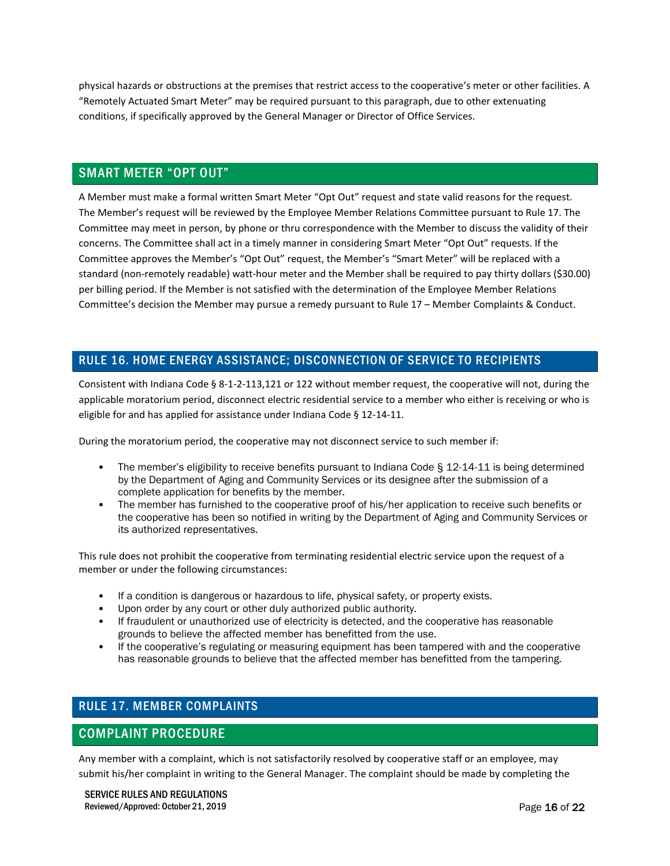physical hazards or obstructions at the premises that restrict access to the cooperative's meter or other facilities. A "Remotely Actuated Smart Meter" may be required pursuant to this paragraph, due to other extenuating conditions, if specifically approved by the General Manager or Director of Office Services.

### SMART METER "OPT OUT"

A Member must make a formal written Smart Meter "Opt Out" request and state valid reasons for the request. The Member's request will be reviewed by the Employee Member Relations Committee pursuant to Rule 17. The Committee may meet in person, by phone or thru correspondence with the Member to discuss the validity of their concerns. The Committee shall act in a timely manner in considering Smart Meter "Opt Out" requests. If the Committee approves the Member's "Opt Out" request, the Member's "Smart Meter" will be replaced with a standard (non-remotely readable) watt-hour meter and the Member shall be required to pay thirty dollars (\$30.00) per billing period. If the Member is not satisfied with the determination of the Employee Member Relations Committee's decision the Member may pursue a remedy pursuant to Rule 17 – Member Complaints & Conduct.

### RULE 16. HOME ENERGY ASSISTANCE; DISCONNECTION OF SERVICE TO RECIPIENTS

Consistent with Indiana Code § 8-1-2-113,121 or 122 without member request, the cooperative will not, during the applicable moratorium period, disconnect electric residential service to a member who either is receiving or who is eligible for and has applied for assistance under Indiana Code § 12-14-11.

During the moratorium period, the cooperative may not disconnect service to such member if:

- The member's eligibility to receive benefits pursuant to Indiana Code § 12-14-11 is being determined by the Department of Aging and Community Services or its designee after the submission of a complete application for benefits by the member.
- The member has furnished to the cooperative proof of his/her application to receive such benefits or the cooperative has been so notified in writing by the Department of Aging and Community Services or its authorized representatives.

This rule does not prohibit the cooperative from terminating residential electric service upon the request of a member or under the following circumstances:

- If a condition is dangerous or hazardous to life, physical safety, or property exists.
- Upon order by any court or other duly authorized public authority.
- If fraudulent or unauthorized use of electricity is detected, and the cooperative has reasonable grounds to believe the affected member has benefitted from the use.
- If the cooperative's regulating or measuring equipment has been tampered with and the cooperative has reasonable grounds to believe that the affected member has benefitted from the tampering.

### RULE 17. MEMBER COMPLAINTS

### COMPLAINT PROCEDURE

Any member with a complaint, which is not satisfactorily resolved by cooperative staff or an employee, may submit his/her complaint in writing to the General Manager. The complaint should be made by completing the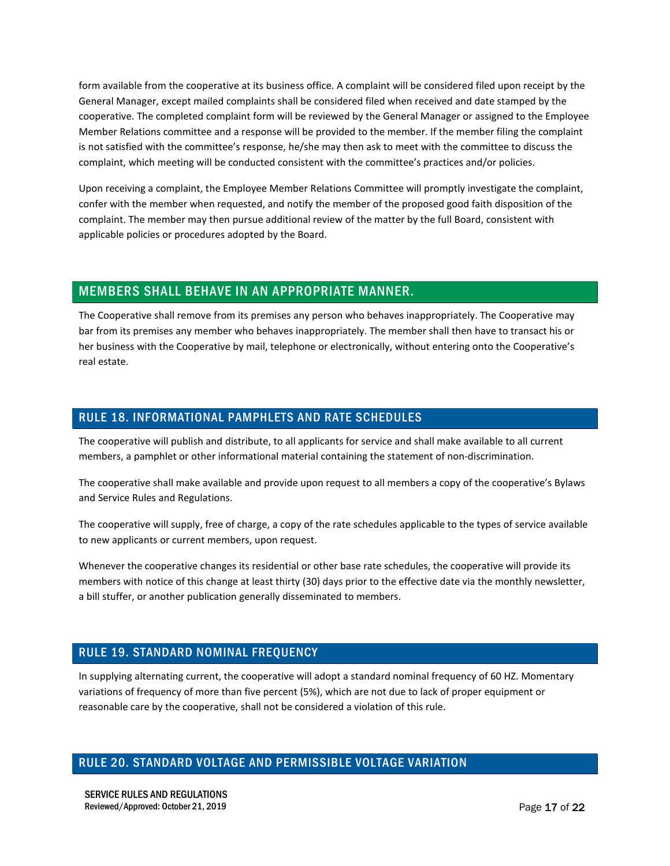form available from the cooperative at its business office. A complaint will be considered filed upon receipt by the General Manager, except mailed complaints shall be considered filed when received and date stamped by the cooperative. The completed complaint form will be reviewed by the General Manager or assigned to the Employee Member Relations committee and a response will be provided to the member. If the member filing the complaint is not satisfied with the committee's response, he/she may then ask to meet with the committee to discuss the complaint, which meeting will be conducted consistent with the committee's practices and/or policies.

Upon receiving a complaint, the Employee Member Relations Committee will promptly investigate the complaint, confer with the member when requested, and notify the member of the proposed good faith disposition of the complaint. The member may then pursue additional review of the matter by the full Board, consistent with applicable policies or procedures adopted by the Board.

### MEMBERS SHALL BEHAVE IN AN APPROPRIATE MANNER.

The Cooperative shall remove from its premises any person who behaves inappropriately. The Cooperative may bar from its premises any member who behaves inappropriately. The member shall then have to transact his or her business with the Cooperative by mail, telephone or electronically, without entering onto the Cooperative's real estate.

## RULE 18. INFORMATIONAL PAMPHLETS AND RATE SCHEDULES

The cooperative will publish and distribute, to all applicants for service and shall make available to all current members, a pamphlet or other informational material containing the statement of non-discrimination.

The cooperative shall make available and provide upon request to all members a copy of the cooperative's Bylaws and Service Rules and Regulations.

The cooperative will supply, free of charge, a copy of the rate schedules applicable to the types of service available to new applicants or current members, upon request.

Whenever the cooperative changes its residential or other base rate schedules, the cooperative will provide its members with notice of this change at least thirty (30) days prior to the effective date via the monthly newsletter, a bill stuffer, or another publication generally disseminated to members.

## RULE 19. STANDARD NOMINAL FREQUENCY

In supplying alternating current, the cooperative will adopt a standard nominal frequency of 60 HZ. Momentary variations of frequency of more than five percent (5%), which are not due to lack of proper equipment or reasonable care by the cooperative, shall not be considered a violation of this rule.

### RULE 20. STANDARD VOLTAGE AND PERMISSIBLE VOLTAGE VARIATION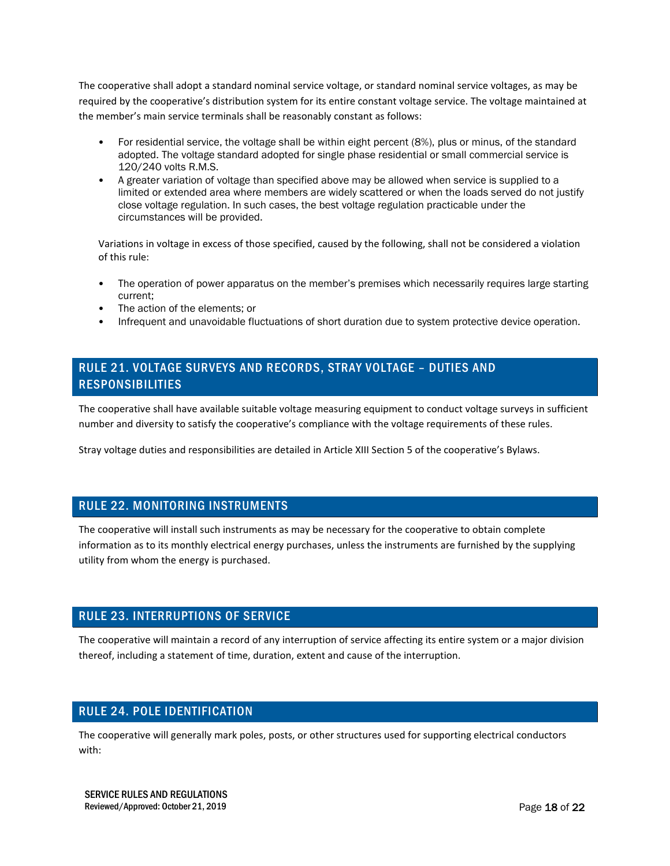The cooperative shall adopt a standard nominal service voltage, or standard nominal service voltages, as may be required by the cooperative's distribution system for its entire constant voltage service. The voltage maintained at the member's main service terminals shall be reasonably constant as follows:

- For residential service, the voltage shall be within eight percent (8%), plus or minus, of the standard adopted. The voltage standard adopted for single phase residential or small commercial service is 120/240 volts R.M.S.
- A greater variation of voltage than specified above may be allowed when service is supplied to a limited or extended area where members are widely scattered or when the loads served do not justify close voltage regulation. In such cases, the best voltage regulation practicable under the circumstances will be provided.

Variations in voltage in excess of those specified, caused by the following, shall not be considered a violation of this rule:

- The operation of power apparatus on the member's premises which necessarily requires large starting current;
- The action of the elements; or
- Infrequent and unavoidable fluctuations of short duration due to system protective device operation.

### RULE 21. VOLTAGE SURVEYS AND RECORDS, STRAY VOLTAGE – DUTIES AND RESPONSIBILITIES

The cooperative shall have available suitable voltage measuring equipment to conduct voltage surveys in sufficient number and diversity to satisfy the cooperative's compliance with the voltage requirements of these rules.

Stray voltage duties and responsibilities are detailed in Article XIII Section 5 of the cooperative's Bylaws.

#### RULE 22. MONITORING INSTRUMENTS

The cooperative will install such instruments as may be necessary for the cooperative to obtain complete information as to its monthly electrical energy purchases, unless the instruments are furnished by the supplying utility from whom the energy is purchased.

#### RULE 23. INTERRUPTIONS OF SERVICE

The cooperative will maintain a record of any interruption of service affecting its entire system or a major division thereof, including a statement of time, duration, extent and cause of the interruption.

#### RULE 24. POLE IDENTIFICATION

The cooperative will generally mark poles, posts, or other structures used for supporting electrical conductors with: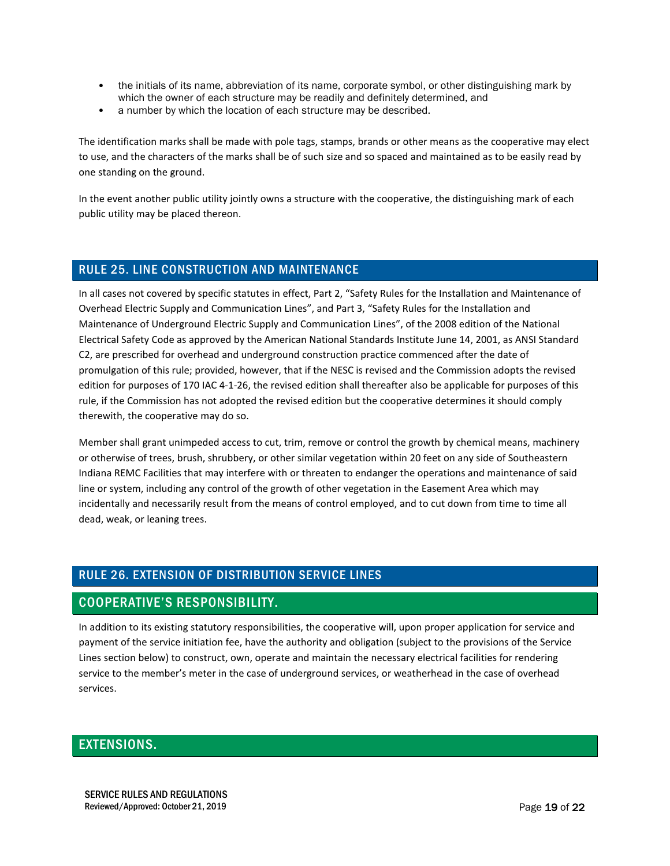- the initials of its name, abbreviation of its name, corporate symbol, or other distinguishing mark by which the owner of each structure may be readily and definitely determined, and
- a number by which the location of each structure may be described.

The identification marks shall be made with pole tags, stamps, brands or other means as the cooperative may elect to use, and the characters of the marks shall be of such size and so spaced and maintained as to be easily read by one standing on the ground.

In the event another public utility jointly owns a structure with the cooperative, the distinguishing mark of each public utility may be placed thereon.

#### RULE 25. LINE CONSTRUCTION AND MAINTENANCE

In all cases not covered by specific statutes in effect, Part 2, "Safety Rules for the Installation and Maintenance of Overhead Electric Supply and Communication Lines", and Part 3, "Safety Rules for the Installation and Maintenance of Underground Electric Supply and Communication Lines", of the 2008 edition of the National Electrical Safety Code as approved by the American National Standards Institute June 14, 2001, as ANSI Standard C2, are prescribed for overhead and underground construction practice commenced after the date of promulgation of this rule; provided, however, that if the NESC is revised and the Commission adopts the revised edition for purposes of 170 IAC 4-1-26, the revised edition shall thereafter also be applicable for purposes of this rule, if the Commission has not adopted the revised edition but the cooperative determines it should comply therewith, the cooperative may do so.

Member shall grant unimpeded access to cut, trim, remove or control the growth by chemical means, machinery or otherwise of trees, brush, shrubbery, or other similar vegetation within 20 feet on any side of Southeastern Indiana REMC Facilities that may interfere with or threaten to endanger the operations and maintenance of said line or system, including any control of the growth of other vegetation in the Easement Area which may incidentally and necessarily result from the means of control employed, and to cut down from time to time all dead, weak, or leaning trees.

## RULE 26. EXTENSION OF DISTRIBUTION SERVICE LINES

### COOPERATIVE'S RESPONSIBILITY.

In addition to its existing statutory responsibilities, the cooperative will, upon proper application for service and payment of the service initiation fee, have the authority and obligation (subject to the provisions of the Service Lines section below) to construct, own, operate and maintain the necessary electrical facilities for rendering service to the member's meter in the case of underground services, or weatherhead in the case of overhead services.

### EXTENSIONS.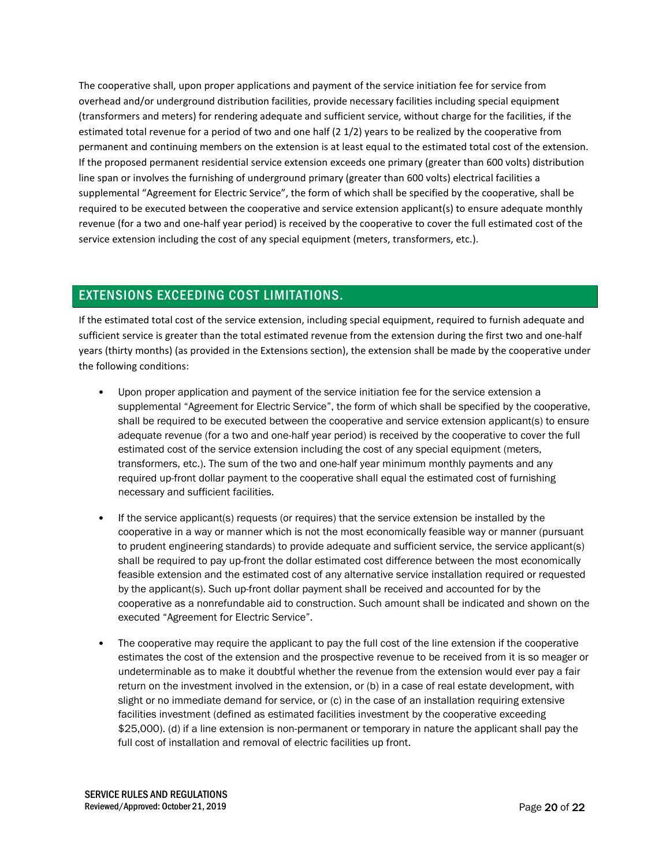The cooperative shall, upon proper applications and payment of the service initiation fee for service from overhead and/or underground distribution facilities, provide necessary facilities including special equipment (transformers and meters) for rendering adequate and sufficient service, without charge for the facilities, if the estimated total revenue for a period of two and one half (2 1/2) years to be realized by the cooperative from permanent and continuing members on the extension is at least equal to the estimated total cost of the extension. If the proposed permanent residential service extension exceeds one primary (greater than 600 volts) distribution line span or involves the furnishing of underground primary (greater than 600 volts) electrical facilities a supplemental "Agreement for Electric Service", the form of which shall be specified by the cooperative, shall be required to be executed between the cooperative and service extension applicant(s) to ensure adequate monthly revenue (for a two and one-half year period) is received by the cooperative to cover the full estimated cost of the service extension including the cost of any special equipment (meters, transformers, etc.).

## EXTENSIONS EXCEEDING COST LIMITATIONS.

If the estimated total cost of the service extension, including special equipment, required to furnish adequate and sufficient service is greater than the total estimated revenue from the extension during the first two and one-half years (thirty months) (as provided in the Extensions section), the extension shall be made by the cooperative under the following conditions:

- Upon proper application and payment of the service initiation fee for the service extension a supplemental "Agreement for Electric Service", the form of which shall be specified by the cooperative, shall be required to be executed between the cooperative and service extension applicant(s) to ensure adequate revenue (for a two and one-half year period) is received by the cooperative to cover the full estimated cost of the service extension including the cost of any special equipment (meters, transformers, etc.). The sum of the two and one-half year minimum monthly payments and any required up-front dollar payment to the cooperative shall equal the estimated cost of furnishing necessary and sufficient facilities.
- If the service applicant(s) requests (or requires) that the service extension be installed by the cooperative in a way or manner which is not the most economically feasible way or manner (pursuant to prudent engineering standards) to provide adequate and sufficient service, the service applicant(s) shall be required to pay up-front the dollar estimated cost difference between the most economically feasible extension and the estimated cost of any alternative service installation required or requested by the applicant(s). Such up-front dollar payment shall be received and accounted for by the cooperative as a nonrefundable aid to construction. Such amount shall be indicated and shown on the executed "Agreement for Electric Service".
- The cooperative may require the applicant to pay the full cost of the line extension if the cooperative estimates the cost of the extension and the prospective revenue to be received from it is so meager or undeterminable as to make it doubtful whether the revenue from the extension would ever pay a fair return on the investment involved in the extension, or (b) in a case of real estate development, with slight or no immediate demand for service, or (c) in the case of an installation requiring extensive facilities investment (defined as estimated facilities investment by the cooperative exceeding \$25,000). (d) if a line extension is non-permanent or temporary in nature the applicant shall pay the full cost of installation and removal of electric facilities up front.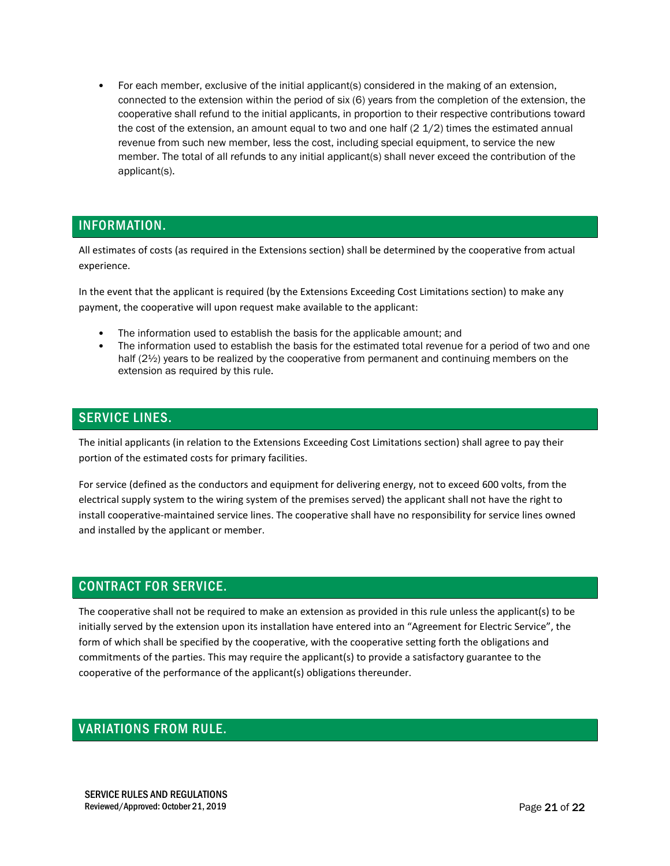• For each member, exclusive of the initial applicant(s) considered in the making of an extension, connected to the extension within the period of six (6) years from the completion of the extension, the cooperative shall refund to the initial applicants, in proportion to their respective contributions toward the cost of the extension, an amount equal to two and one half  $(2\ 1/2)$  times the estimated annual revenue from such new member, less the cost, including special equipment, to service the new member. The total of all refunds to any initial applicant(s) shall never exceed the contribution of the applicant(s).

## INFORMATION.

All estimates of costs (as required in the Extensions section) shall be determined by the cooperative from actual experience.

In the event that the applicant is required (by the Extensions Exceeding Cost Limitations section) to make any payment, the cooperative will upon request make available to the applicant:

- The information used to establish the basis for the applicable amount; and
- The information used to establish the basis for the estimated total revenue for a period of two and one half (2½) years to be realized by the cooperative from permanent and continuing members on the extension as required by this rule.

### SERVICE LINES.

The initial applicants (in relation to the Extensions Exceeding Cost Limitations section) shall agree to pay their portion of the estimated costs for primary facilities.

For service (defined as the conductors and equipment for delivering energy, not to exceed 600 volts, from the electrical supply system to the wiring system of the premises served) the applicant shall not have the right to install cooperative-maintained service lines. The cooperative shall have no responsibility for service lines owned and installed by the applicant or member.

### CONTRACT FOR SERVICE.

The cooperative shall not be required to make an extension as provided in this rule unless the applicant(s) to be initially served by the extension upon its installation have entered into an "Agreement for Electric Service", the form of which shall be specified by the cooperative, with the cooperative setting forth the obligations and commitments of the parties. This may require the applicant(s) to provide a satisfactory guarantee to the cooperative of the performance of the applicant(s) obligations thereunder.

### VARIATIONS FROM RULE.